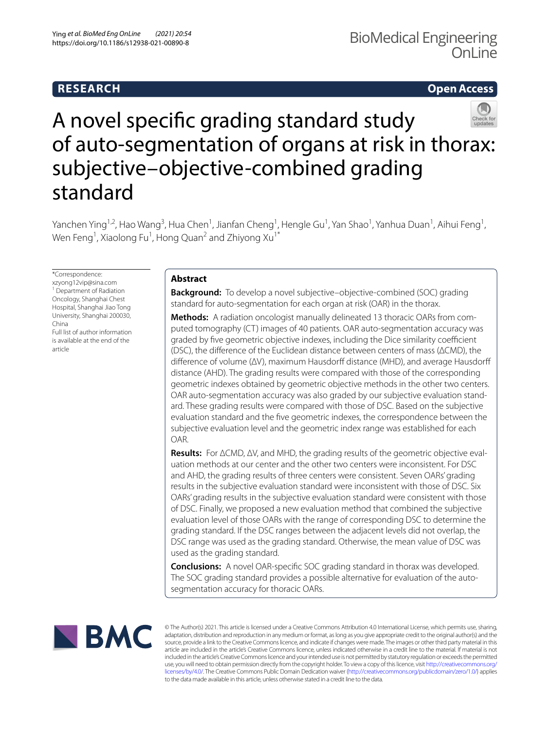# **RESEARCH**

## **Open Access**



# A novel specifc grading standard study of auto-segmentation of organs at risk in thorax: subjective-objective-combined grading standard

Yanchen Ying<sup>1,2</sup>, Hao Wang<sup>3</sup>, Hua Chen<sup>1</sup>, Jianfan Cheng<sup>1</sup>, Hengle Gu<sup>1</sup>, Yan Shao<sup>1</sup>, Yanhua Duan<sup>1</sup>, Aihui Feng<sup>1</sup>, Wen Feng $^1$ , Xiaolong Fu $^1$ , Hong Quan $^2$  and Zhiyong Xu $^{1^\ast}$ 

\*Correspondence: xzyong12vip@sina.com <sup>1</sup> Department of Radiation Oncology, Shanghai Chest Hospital, Shanghai Jiao Tong University, Shanghai 200030, China Full list of author information is available at the end of the

article

## **Abstract**

**Background:** To develop a novel subjective–objective-combined (SOC) grading standard for auto-segmentation for each organ at risk (OAR) in the thorax.

**Methods:** A radiation oncologist manually delineated 13 thoracic OARs from computed tomography (CT) images of 40 patients. OAR auto-segmentation accuracy was graded by five geometric objective indexes, including the Dice similarity coefficient (DSC), the diference of the Euclidean distance between centers of mass (ΔCMD), the difference of volume (ΔV), maximum Hausdorff distance (MHD), and average Hausdorff distance (AHD). The grading results were compared with those of the corresponding geometric indexes obtained by geometric objective methods in the other two centers. OAR auto-segmentation accuracy was also graded by our subjective evaluation standard. These grading results were compared with those of DSC. Based on the subjective evaluation standard and the fve geometric indexes, the correspondence between the subjective evaluation level and the geometric index range was established for each OAR.

**Results:** For ΔCMD, ΔV, and MHD, the grading results of the geometric objective evaluation methods at our center and the other two centers were inconsistent. For DSC and AHD, the grading results of three centers were consistent. Seven OARs' grading results in the subjective evaluation standard were inconsistent with those of DSC. Six OARs' grading results in the subjective evaluation standard were consistent with those of DSC. Finally, we proposed a new evaluation method that combined the subjective evaluation level of those OARs with the range of corresponding DSC to determine the grading standard. If the DSC ranges between the adjacent levels did not overlap, the DSC range was used as the grading standard. Otherwise, the mean value of DSC was used as the grading standard.

**Conclusions:** A novel OAR-specifc SOC grading standard in thorax was developed. The SOC grading standard provides a possible alternative for evaluation of the autosegmentation accuracy for thoracic OARs.



© The Author(s) 2021. This article is licensed under a Creative Commons Attribution 4.0 International License, which permits use, sharing, adaptation, distribution and reproduction in any medium or format, as long as you give appropriate credit to the original author(s) and the source, provide a link to the Creative Commons licence, and indicate if changes were made. The images or other third party material in this article are included in the article's Creative Commons licence, unless indicated otherwise in a credit line to the material. If material is not included in the article's Creative Commons licence and your intended use is not permitted by statutory regulation or exceeds the permitted use, you will need to obtain permission directly from the copyright holder. To view a copy of this licence, visit [http://creativecommons.org/](http://creativecommons.org/licenses/by/4.0/) [licenses/by/4.0/.](http://creativecommons.org/licenses/by/4.0/) The Creative Commons Public Domain Dedication waiver [\(http://creativecommons.org/publicdomain/zero/1.0/\)](http://creativecommons.org/publicdomain/zero/1.0/) applies to the data made available in this article, unless otherwise stated in a credit line to the data.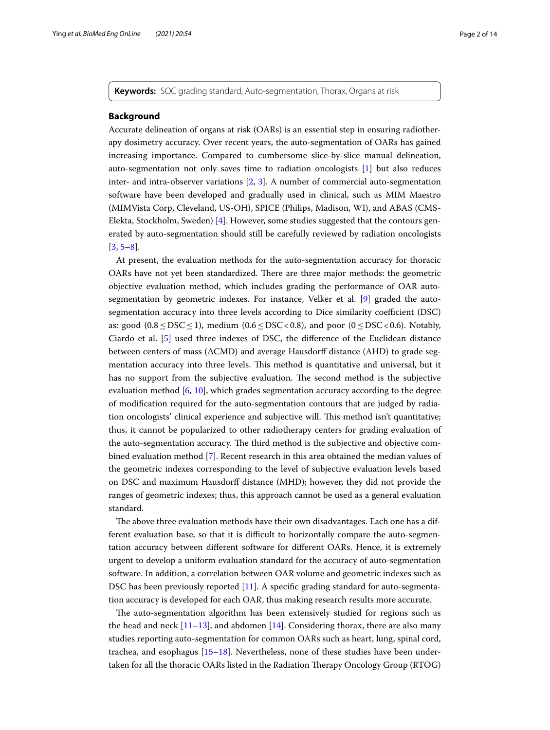**Keywords:** SOC grading standard, Auto-segmentation, Thorax, Organs at risk

## **Background**

Accurate delineation of organs at risk (OARs) is an essential step in ensuring radiotherapy dosimetry accuracy. Over recent years, the auto-segmentation of OARs has gained increasing importance. Compared to cumbersome slice-by-slice manual delineation, auto-segmentation not only saves time to radiation oncologists [\[1](#page-12-0)] but also reduces inter- and intra-observer variations [\[2](#page-12-1), [3\]](#page-12-2). A number of commercial auto-segmentation software have been developed and gradually used in clinical, such as MIM Maestro (MIMVista Corp, Cleveland, US-OH), SPICE (Philips, Madison, WI), and ABAS (CMS-Elekta, Stockholm, Sweden) [[4](#page-12-3)]. However, some studies suggested that the contours generated by auto-segmentation should still be carefully reviewed by radiation oncologists  $[3, 5-8]$  $[3, 5-8]$  $[3, 5-8]$  $[3, 5-8]$ .

At present, the evaluation methods for the auto-segmentation accuracy for thoracic OARs have not yet been standardized. There are three major methods: the geometric objective evaluation method, which includes grading the performance of OAR autosegmentation by geometric indexes. For instance, Velker et al. [\[9](#page-12-6)] graded the autosegmentation accuracy into three levels according to Dice similarity coefficient (DSC) as: good  $(0.8 \leq DSC \leq 1)$ , medium  $(0.6 \leq DSC \leq 0.8)$ , and poor  $(0 \leq DSC \leq 0.6)$ . Notably, Ciardo et al. [[5](#page-12-4)] used three indexes of DSC, the diference of the Euclidean distance between centers of mass (ΔCMD) and average Hausdorf distance (AHD) to grade segmentation accuracy into three levels. This method is quantitative and universal, but it has no support from the subjective evaluation. The second method is the subjective evaluation method [\[6](#page-12-7), [10\]](#page-12-8), which grades segmentation accuracy according to the degree of modifcation required for the auto-segmentation contours that are judged by radiation oncologists' clinical experience and subjective will. Tis method isn't quantitative; thus, it cannot be popularized to other radiotherapy centers for grading evaluation of the auto-segmentation accuracy. The third method is the subjective and objective combined evaluation method [[7\]](#page-12-9). Recent research in this area obtained the median values of the geometric indexes corresponding to the level of subjective evaluation levels based on DSC and maximum Hausdorff distance (MHD); however, they did not provide the ranges of geometric indexes; thus, this approach cannot be used as a general evaluation standard.

The above three evaluation methods have their own disadvantages. Each one has a different evaluation base, so that it is difficult to horizontally compare the auto-segmentation accuracy between diferent software for diferent OARs. Hence, it is extremely urgent to develop a uniform evaluation standard for the accuracy of auto-segmentation software. In addition, a correlation between OAR volume and geometric indexes such as DSC has been previously reported [\[11\]](#page-12-10). A specifc grading standard for auto-segmentation accuracy is developed for each OAR, thus making research results more accurate.

The auto-segmentation algorithm has been extensively studied for regions such as the head and neck  $[11-13]$  $[11-13]$  $[11-13]$ , and abdomen  $[14]$  $[14]$ . Considering thorax, there are also many studies reporting auto-segmentation for common OARs such as heart, lung, spinal cord, trachea, and esophagus [\[15–](#page-12-13)[18\]](#page-13-0). Nevertheless, none of these studies have been undertaken for all the thoracic OARs listed in the Radiation Therapy Oncology Group (RTOG)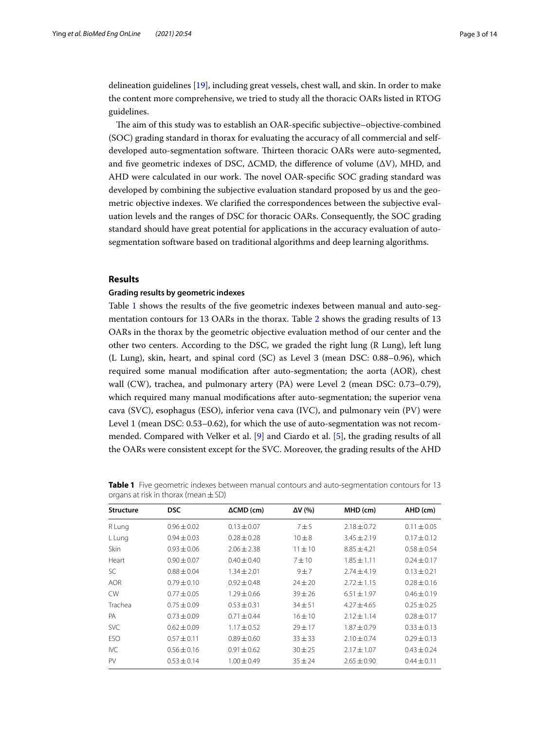delineation guidelines [\[19](#page-13-1)], including great vessels, chest wall, and skin. In order to make the content more comprehensive, we tried to study all the thoracic OARs listed in RTOG guidelines.

The aim of this study was to establish an OAR-specific subjective-objective-combined (SOC) grading standard in thorax for evaluating the accuracy of all commercial and selfdeveloped auto-segmentation software. Thirteen thoracic OARs were auto-segmented, and five geometric indexes of DSC,  $\triangle CMD$ , the difference of volume  $(\triangle V)$ , MHD, and AHD were calculated in our work. The novel OAR-specific SOC grading standard was developed by combining the subjective evaluation standard proposed by us and the geometric objective indexes. We clarifed the correspondences between the subjective evaluation levels and the ranges of DSC for thoracic OARs. Consequently, the SOC grading standard should have great potential for applications in the accuracy evaluation of autosegmentation software based on traditional algorithms and deep learning algorithms.

## **Results**

## **Grading results by geometric indexes**

Table [1](#page-2-0) shows the results of the fve geometric indexes between manual and auto-segmentation contours for 13 OARs in the thorax. Table [2](#page-3-0) shows the grading results of 13 OARs in the thorax by the geometric objective evaluation method of our center and the other two centers. According to the DSC, we graded the right lung (R Lung), left lung (L Lung), skin, heart, and spinal cord (SC) as Level 3 (mean DSC: 0.88–0.96), which required some manual modifcation after auto-segmentation; the aorta (AOR), chest wall (CW), trachea, and pulmonary artery (PA) were Level 2 (mean DSC: 0.73–0.79), which required many manual modifcations after auto-segmentation; the superior vena cava (SVC), esophagus (ESO), inferior vena cava (IVC), and pulmonary vein (PV) were Level 1 (mean DSC: 0.53–0.62), for which the use of auto-segmentation was not recommended. Compared with Velker et al. [\[9](#page-12-6)] and Ciardo et al. [\[5\]](#page-12-4), the grading results of all the OARs were consistent except for the SVC. Moreover, the grading results of the AHD

| <b>Structure</b> | <b>DSC</b>      | $\triangle CMD$ (cm) | $\Delta V$ (%) | MHD (cm)        | AHD (cm)        |
|------------------|-----------------|----------------------|----------------|-----------------|-----------------|
| R Lung           | $0.96 \pm 0.02$ | $0.13 \pm 0.07$      | 7±5            | $2.18 \pm 0.72$ | $0.11 \pm 0.05$ |
| L Lung           | $0.94 + 0.03$   | $0.28 + 0.28$        | $10 + 8$       | $3.45 + 2.19$   | $0.17 + 0.12$   |
| Skin             | $0.93 \pm 0.06$ | $2.06 \pm 2.38$      | $11 \pm 10$    | $8.85 + 4.21$   | $0.58 + 0.54$   |
| Heart            | $0.90 \pm 0.07$ | $0.40 + 0.40$        | $7 + 10$       | $1.85 + 1.11$   | $0.24 \pm 0.17$ |
| SC               | $0.88 + 0.04$   | $1.34 + 2.01$        | 9±7            | $2.74 + 4.19$   | $0.13 + 0.21$   |
| <b>AOR</b>       | $0.79 \pm 0.10$ | $0.92 + 0.48$        | $74 + 20$      | $2.72 \pm 1.15$ | $0.28 + 0.16$   |
| <b>CW</b>        | $0.77 + 0.05$   | $1.29 + 0.66$        | $39 + 26$      | $6.51 + 1.97$   | $0.46 \pm 0.19$ |
| Trachea          | $0.75 + 0.09$   | $0.53 + 0.31$        | $34 + 51$      | $4.27 + 4.65$   | $0.25 + 0.25$   |
| PA               | $0.73 + 0.09$   | $0.71 + 0.44$        | $16 + 10$      | $2.12 \pm 1.14$ | $0.28 \pm 0.17$ |
| <b>SVC</b>       | $0.62 \pm 0.09$ | $1.17 + 0.52$        | $29 + 17$      | $1.87 + 0.79$   | $0.33 + 0.13$   |
| <b>ESO</b>       | $0.57 \pm 0.11$ | $0.89 \pm 0.60$      | $33 + 33$      | $2.10 + 0.74$   | $0.29 + 0.13$   |
| <b>IVC</b>       | $0.56 + 0.16$   | $0.91 \pm 0.62$      | $30 + 25$      | $2.17 + 1.07$   | $0.43 + 0.24$   |
| PV               | $0.53 \pm 0.14$ | $1.00 \pm 0.49$      | $35 + 24$      | $2.65 \pm 0.90$ | $0.44 \pm 0.11$ |

<span id="page-2-0"></span>**Table 1** Five geometric indexes between manual contours and auto-segmentation contours for 13 organs at risk in thorax (mean  $\pm$  SD)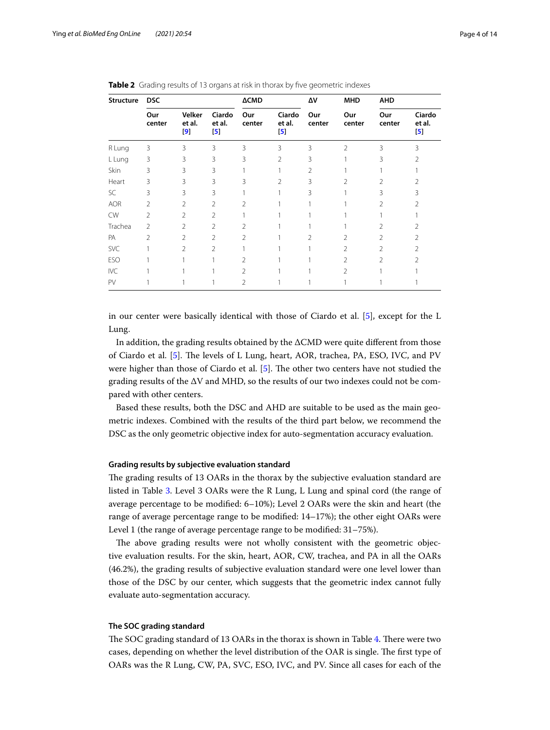| <b>Structure</b> | <b>DSC</b>     |                         |                                  | <b>ACMD</b>    |                                  | ΔV            | <b>MHD</b>     | <b>AHD</b>     |                                  |
|------------------|----------------|-------------------------|----------------------------------|----------------|----------------------------------|---------------|----------------|----------------|----------------------------------|
|                  | Our<br>center  | Velker<br>et al.<br>[9] | Ciardo<br>et al.<br>$\mathbf{5}$ | Our<br>center  | Ciardo<br>et al.<br>$\mathbf{5}$ | Our<br>center | Our<br>center  | Our<br>center  | Ciardo<br>et al.<br>$\mathbf{5}$ |
| R Lung           | 3              | 3                       | 3                                | 3              | 3                                | 3             | $\mathfrak{D}$ | 3              | 3                                |
| L Lung           | 3              | 3                       | 3                                | 3              | $\mathfrak{D}$                   | 3             |                | 3              | 2                                |
| Skin             | 3              | 3                       | 3                                |                |                                  | 2             |                |                |                                  |
| Heart            | 3              | 3                       | 3                                | 3              | $\mathfrak{D}$                   | 3             | 2              | 2              | 2                                |
| SC.              | 3              | 3                       | 3                                |                |                                  | 3             |                | 3              | 3                                |
| <b>AOR</b>       | 2              | 2                       | 2                                | 2              |                                  |               |                | 2              | 2                                |
| <b>CW</b>        | $\mathfrak{D}$ | 2                       | $\mathfrak{D}$                   |                |                                  |               |                |                |                                  |
| Trachea          | $\mathcal{P}$  | $\mathfrak{D}$          | 2                                | $\mathfrak{D}$ |                                  |               |                | 2              | 2                                |
| PA               | $\mathfrak{D}$ | $\mathcal{P}$           | $\mathfrak{D}$                   | 2              |                                  | $\mathcal{P}$ | $\mathfrak{D}$ | $\mathfrak{D}$ | $\mathfrak{D}$                   |
| SVC              |                | $\mathcal{P}$           | $\overline{2}$                   |                |                                  |               | $\mathfrak{D}$ | $\mathfrak{D}$ | $\mathfrak{D}$                   |
| ESO              |                |                         |                                  | $\mathfrak{D}$ |                                  |               | $\mathfrak{D}$ | $\overline{2}$ | 2                                |
| <b>IVC</b>       |                |                         |                                  | 2              |                                  |               | $\mathcal{P}$  |                |                                  |
| PV               |                |                         |                                  | 2              |                                  |               |                |                |                                  |

<span id="page-3-0"></span>**Table 2** Grading results of 13 organs at risk in thorax by five geometric indexes

in our center were basically identical with those of Ciardo et al. [[5\]](#page-12-4), except for the L Lung.

In addition, the grading results obtained by the ΔCMD were quite diferent from those of Ciardo et al. [\[5](#page-12-4)]. The levels of L Lung, heart, AOR, trachea, PA, ESO, IVC, and PV were higher than those of Ciardo et al. [[5\]](#page-12-4). The other two centers have not studied the grading results of the ΔV and MHD, so the results of our two indexes could not be compared with other centers.

Based these results, both the DSC and AHD are suitable to be used as the main geometric indexes. Combined with the results of the third part below, we recommend the DSC as the only geometric objective index for auto-segmentation accuracy evaluation.

## **Grading results by subjective evaluation standard**

The grading results of 13 OARs in the thorax by the subjective evaluation standard are listed in Table [3](#page-4-0). Level 3 OARs were the R Lung, L Lung and spinal cord (the range of average percentage to be modifed: 6–10%); Level 2 OARs were the skin and heart (the range of average percentage range to be modifed: 14–17%); the other eight OARs were Level 1 (the range of average percentage range to be modifed: 31–75%).

The above grading results were not wholly consistent with the geometric objective evaluation results. For the skin, heart, AOR, CW, trachea, and PA in all the OARs (46.2%), the grading results of subjective evaluation standard were one level lower than those of the DSC by our center, which suggests that the geometric index cannot fully evaluate auto-segmentation accuracy.

#### **The SOC grading standard**

The SOC grading standard of 13 OARs in the thorax is shown in Table [4](#page-5-0). There were two cases, depending on whether the level distribution of the OAR is single. The first type of OARs was the R Lung, CW, PA, SVC, ESO, IVC, and PV. Since all cases for each of the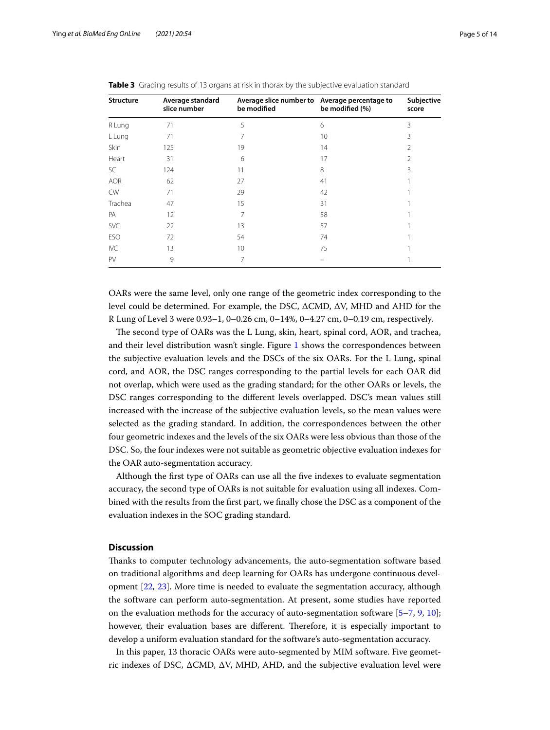| <b>Structure</b> | Average standard<br>slice number | Average slice number to Average percentage to<br>be modified | be modified (%) | Subjective<br>score |
|------------------|----------------------------------|--------------------------------------------------------------|-----------------|---------------------|
| R Lung           | 71                               | 5                                                            | 6               | 3                   |
| L Lung           | 71                               |                                                              | 10              | 3                   |
| Skin             | 125                              | 19                                                           | 14              | 2                   |
| Heart            | 31                               | 6                                                            | 17              | 2                   |
| SC               | 124                              | 11                                                           | 8               | 3                   |
| <b>AOR</b>       | 62                               | 27                                                           | 41              |                     |
| <b>CW</b>        | 71                               | 29                                                           | 42              |                     |
| Trachea          | 47                               | 15                                                           | 31              |                     |
| PA               | 12                               | 7                                                            | 58              |                     |
| SVC              | 22                               | 13                                                           | 57              |                     |
| ESO              | 72                               | 54                                                           | 74              |                     |
| <b>IVC</b>       | 13                               | 10                                                           | 75              |                     |
| PV               | 9                                | 7                                                            |                 |                     |

<span id="page-4-0"></span>**Table 3** Grading results of 13 organs at risk in thorax by the subjective evaluation standard

OARs were the same level, only one range of the geometric index corresponding to the level could be determined. For example, the DSC, ΔCMD, ΔV, MHD and AHD for the R Lung of Level 3 were 0.93–1, 0–0.26 cm, 0–14%, 0–4.27 cm, 0–0.19 cm, respectively.

The second type of OARs was the L Lung, skin, heart, spinal cord, AOR, and trachea, and their level distribution wasn't single. Figure [1](#page-6-0) shows the correspondences between the subjective evaluation levels and the DSCs of the six OARs. For the L Lung, spinal cord, and AOR, the DSC ranges corresponding to the partial levels for each OAR did not overlap, which were used as the grading standard; for the other OARs or levels, the DSC ranges corresponding to the diferent levels overlapped. DSC's mean values still increased with the increase of the subjective evaluation levels, so the mean values were selected as the grading standard. In addition, the correspondences between the other four geometric indexes and the levels of the six OARs were less obvious than those of the DSC. So, the four indexes were not suitable as geometric objective evaluation indexes for the OAR auto-segmentation accuracy.

Although the frst type of OARs can use all the fve indexes to evaluate segmentation accuracy, the second type of OARs is not suitable for evaluation using all indexes. Combined with the results from the frst part, we fnally chose the DSC as a component of the evaluation indexes in the SOC grading standard.

## **Discussion**

Tanks to computer technology advancements, the auto-segmentation software based on traditional algorithms and deep learning for OARs has undergone continuous development [[22](#page-13-2), [23](#page-13-3)]. More time is needed to evaluate the segmentation accuracy, although the software can perform auto-segmentation. At present, some studies have reported on the evaluation methods for the accuracy of auto-segmentation software [[5](#page-12-4)[–7](#page-12-9), [9](#page-12-6), [10](#page-12-8)]; however, their evaluation bases are different. Therefore, it is especially important to develop a uniform evaluation standard for the software's auto-segmentation accuracy.

In this paper, 13 thoracic OARs were auto-segmented by MIM software. Five geometric indexes of DSC, ΔCMD, ΔV, MHD, AHD, and the subjective evaluation level were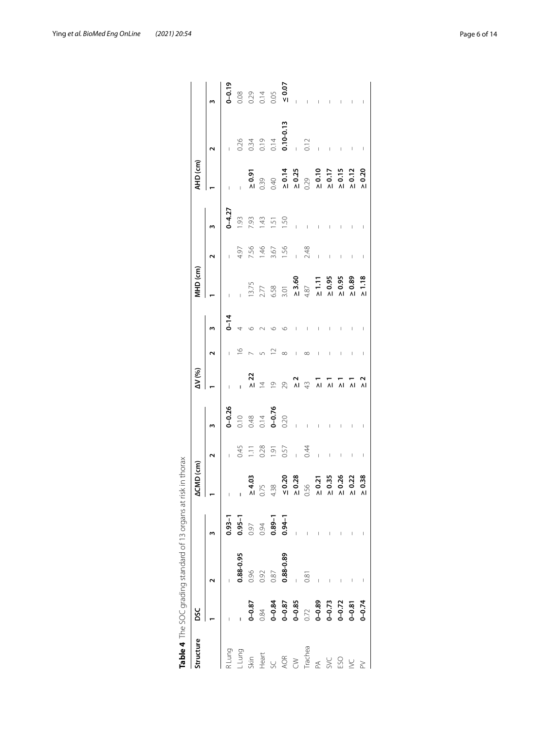| Structure DSC |                                                                                                 |                                                | <b>ACMD (cm)</b>                                                                                                                                                                                                                                                                                                                                                                                                                    |                  |                                                          | IV (%)                                          |          | AHD (cm) |                                                                    |                           | (HD (cm                                                                                                                                                                                                                                                                                                                                                                                                                          |                                                   |  |
|---------------|-------------------------------------------------------------------------------------------------|------------------------------------------------|-------------------------------------------------------------------------------------------------------------------------------------------------------------------------------------------------------------------------------------------------------------------------------------------------------------------------------------------------------------------------------------------------------------------------------------|------------------|----------------------------------------------------------|-------------------------------------------------|----------|----------|--------------------------------------------------------------------|---------------------------|----------------------------------------------------------------------------------------------------------------------------------------------------------------------------------------------------------------------------------------------------------------------------------------------------------------------------------------------------------------------------------------------------------------------------------|---------------------------------------------------|--|
|               |                                                                                                 |                                                |                                                                                                                                                                                                                                                                                                                                                                                                                                     |                  |                                                          |                                                 |          |          |                                                                    |                           |                                                                                                                                                                                                                                                                                                                                                                                                                                  |                                                   |  |
|               |                                                                                                 | $0.93 - 1$                                     | $\top$                                                                                                                                                                                                                                                                                                                                                                                                                              |                  |                                                          |                                                 | $7 - 14$ |          |                                                                    |                           |                                                                                                                                                                                                                                                                                                                                                                                                                                  |                                                   |  |
|               |                                                                                                 |                                                | $\mathbf{I}$                                                                                                                                                                                                                                                                                                                                                                                                                        | 0.45             |                                                          |                                                 |          |          |                                                                    | $0 - 4.27$<br>1.93        |                                                                                                                                                                                                                                                                                                                                                                                                                                  |                                                   |  |
|               |                                                                                                 |                                                |                                                                                                                                                                                                                                                                                                                                                                                                                                     | 1.11             |                                                          | $\geq 22$                                       |          |          |                                                                    |                           |                                                                                                                                                                                                                                                                                                                                                                                                                                  |                                                   |  |
|               |                                                                                                 |                                                |                                                                                                                                                                                                                                                                                                                                                                                                                                     |                  |                                                          | $\overline{4}$                                  |          |          |                                                                    |                           |                                                                                                                                                                                                                                                                                                                                                                                                                                  |                                                   |  |
|               |                                                                                                 |                                                |                                                                                                                                                                                                                                                                                                                                                                                                                                     | $0.28$<br>1.91   |                                                          | $\overline{Q}$                                  |          |          |                                                                    |                           |                                                                                                                                                                                                                                                                                                                                                                                                                                  |                                                   |  |
|               | $\begin{array}{l} \textbf{0.88-0.95} \\ 0.96 \\ 0.92 \\ 0.87 \\ \textbf{0.88-0.89} \end{array}$ | $0.95-1$<br>0.97<br>0.89-1<br>0.89-1<br>0.94-1 | $\begin{array}{cccccccccc} \mathbf{1} & \mathbf{2} & \mathbf{3} & \mathbf{4} & \mathbf{5} & \mathbf{6} & \mathbf{7} & \mathbf{8} & \mathbf{8} & \mathbf{9} & \mathbf{1} & \mathbf{1} & \mathbf{1} & \mathbf{1} & \mathbf{1} & \mathbf{1} & \mathbf{1} & \mathbf{1} & \mathbf{1} & \mathbf{1} & \mathbf{1} & \mathbf{1} & \mathbf{1} & \mathbf{1} & \mathbf{1} & \mathbf{1} & \mathbf{1} & \mathbf{1} & \mathbf{1} & \mathbf{1} & \$ |                  | $0 - 0.26$ $0.10$ $0.48$ $0.14$ $0 - 0.76$ $0.20$ $0.20$ | 29                                              |          |          | $4.97$<br>$7.56$<br>$7.46$<br>$7.56$<br>$7.56$<br>$1.56$<br>$1.56$ | $7.43$<br>$1.5$<br>$1.50$ | $\begin{array}{cccccccccccc} \text{N} & \text{S} & \text{S} & \text{S} & \text{S} & \text{S} & \text{S} & \text{S} & \text{S} & \text{S} & \text{S} & \text{S} & \text{S} & \text{S} & \text{S} & \text{S} & \text{S} & \text{S} & \text{S} & \text{S} & \text{S} & \text{S} & \text{S} & \text{S} & \text{S} & \text{S} & \text{S} & \text{S} & \text{S} & \text{S} & \text{S} & \text{S} & \text{S} & \text{S} & \text{S} & \$ | 0.26<br>0.34<br>0.19<br>0.10-0.13<br>0.12<br>0.12 |  |
|               |                                                                                                 |                                                |                                                                                                                                                                                                                                                                                                                                                                                                                                     | $0.57$<br>$0.44$ |                                                          | $\frac{2}{\pi}$ $\frac{4}{\pi}$ $\frac{1}{\pi}$ |          |          |                                                                    |                           |                                                                                                                                                                                                                                                                                                                                                                                                                                  |                                                   |  |
|               | 0.81                                                                                            |                                                |                                                                                                                                                                                                                                                                                                                                                                                                                                     |                  |                                                          |                                                 |          |          |                                                                    |                           |                                                                                                                                                                                                                                                                                                                                                                                                                                  |                                                   |  |
|               |                                                                                                 |                                                |                                                                                                                                                                                                                                                                                                                                                                                                                                     |                  |                                                          |                                                 |          |          |                                                                    |                           |                                                                                                                                                                                                                                                                                                                                                                                                                                  |                                                   |  |
|               |                                                                                                 |                                                |                                                                                                                                                                                                                                                                                                                                                                                                                                     |                  |                                                          | 고고고                                             |          |          |                                                                    |                           |                                                                                                                                                                                                                                                                                                                                                                                                                                  |                                                   |  |
|               |                                                                                                 |                                                |                                                                                                                                                                                                                                                                                                                                                                                                                                     |                  |                                                          |                                                 |          |          |                                                                    |                           |                                                                                                                                                                                                                                                                                                                                                                                                                                  |                                                   |  |
|               |                                                                                                 |                                                |                                                                                                                                                                                                                                                                                                                                                                                                                                     |                  |                                                          |                                                 |          |          |                                                                    |                           |                                                                                                                                                                                                                                                                                                                                                                                                                                  |                                                   |  |
|               |                                                                                                 |                                                | $\ge 0.38$                                                                                                                                                                                                                                                                                                                                                                                                                          |                  |                                                          | $\frac{2}{\lambda}$                             |          |          |                                                                    |                           |                                                                                                                                                                                                                                                                                                                                                                                                                                  |                                                   |  |
|               |                                                                                                 |                                                |                                                                                                                                                                                                                                                                                                                                                                                                                                     |                  |                                                          |                                                 |          |          |                                                                    |                           |                                                                                                                                                                                                                                                                                                                                                                                                                                  |                                                   |  |

<span id="page-5-0"></span>

| $\frac{1}{2}$            |
|--------------------------|
|                          |
|                          |
|                          |
| ١                        |
|                          |
| くこく こうしょう いろく            |
| ١                        |
|                          |
| Ï                        |
| ١                        |
|                          |
|                          |
| ١                        |
|                          |
| -<br>با<br>١             |
| ١                        |
| ś                        |
|                          |
|                          |
|                          |
|                          |
| ١                        |
| ١                        |
|                          |
|                          |
| I                        |
|                          |
| i<br>١                   |
| $\overline{\phantom{a}}$ |
| ι<br>١                   |
| ţ<br>١                   |
|                          |
| ł                        |
|                          |
| Ï                        |
|                          |
| Ï                        |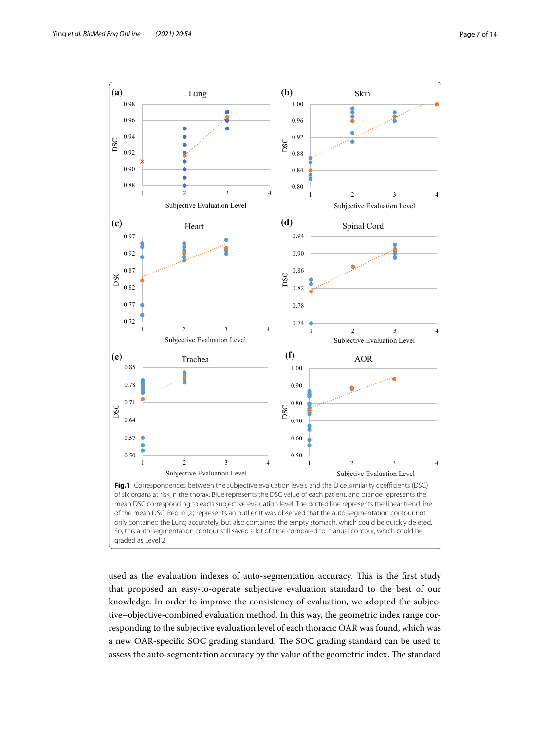

<span id="page-6-0"></span>used as the evaluation indexes of auto-segmentation accuracy. This is the first study that proposed an easy-to-operate subjective evaluation standard to the best of our knowledge. In order to improve the consistency of evaluation, we adopted the subjective–objective-combined evaluation method. In this way, the geometric index range corresponding to the subjective evaluation level of each thoracic OAR was found, which was a new OAR-specific SOC grading standard. The SOC grading standard can be used to assess the auto-segmentation accuracy by the value of the geometric index. The standard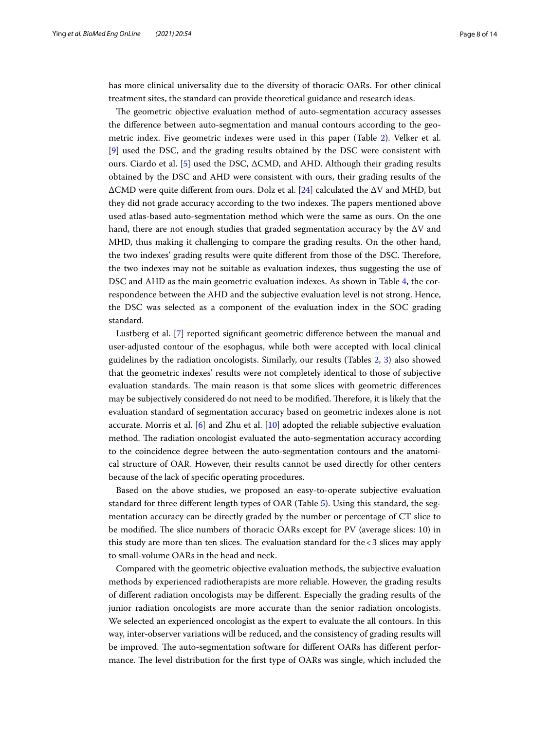has more clinical universality due to the diversity of thoracic OARs. For other clinical treatment sites, the standard can provide theoretical guidance and research ideas.

The geometric objective evaluation method of auto-segmentation accuracy assesses the diference between auto-segmentation and manual contours according to the geometric index. Five geometric indexes were used in this paper (Table [2](#page-3-0)). Velker et al. [[9\]](#page-12-6) used the DSC, and the grading results obtained by the DSC were consistent with ours. Ciardo et al. [\[5](#page-12-4)] used the DSC,  $\Delta$ CMD, and AHD. Although their grading results obtained by the DSC and AHD were consistent with ours, their grading results of the ΔCMD were quite diferent from ours. Dolz et al. [\[24](#page-13-4)] calculated the ΔV and MHD, but they did not grade accuracy according to the two indexes. The papers mentioned above used atlas-based auto-segmentation method which were the same as ours. On the one hand, there are not enough studies that graded segmentation accuracy by the  $\Delta V$  and MHD, thus making it challenging to compare the grading results. On the other hand, the two indexes' grading results were quite different from those of the DSC. Therefore, the two indexes may not be suitable as evaluation indexes, thus suggesting the use of DSC and AHD as the main geometric evaluation indexes. As shown in Table [4](#page-5-0), the correspondence between the AHD and the subjective evaluation level is not strong. Hence, the DSC was selected as a component of the evaluation index in the SOC grading standard.

Lustberg et al. [\[7](#page-12-9)] reported signifcant geometric diference between the manual and user-adjusted contour of the esophagus, while both were accepted with local clinical guidelines by the radiation oncologists. Similarly, our results (Tables [2](#page-3-0), [3\)](#page-4-0) also showed that the geometric indexes' results were not completely identical to those of subjective evaluation standards. The main reason is that some slices with geometric differences may be subjectively considered do not need to be modified. Therefore, it is likely that the evaluation standard of segmentation accuracy based on geometric indexes alone is not accurate. Morris et al. [[6\]](#page-12-7) and Zhu et al. [\[10](#page-12-8)] adopted the reliable subjective evaluation method. The radiation oncologist evaluated the auto-segmentation accuracy according to the coincidence degree between the auto-segmentation contours and the anatomical structure of OAR. However, their results cannot be used directly for other centers because of the lack of specifc operating procedures.

Based on the above studies, we proposed an easy-to-operate subjective evaluation standard for three diferent length types of OAR (Table [5](#page-8-0)). Using this standard, the segmentation accuracy can be directly graded by the number or percentage of CT slice to be modified. The slice numbers of thoracic OARs except for PV (average slices: 10) in this study are more than ten slices. The evaluation standard for the  $<$  3 slices may apply to small-volume OARs in the head and neck.

Compared with the geometric objective evaluation methods, the subjective evaluation methods by experienced radiotherapists are more reliable. However, the grading results of diferent radiation oncologists may be diferent. Especially the grading results of the junior radiation oncologists are more accurate than the senior radiation oncologists. We selected an experienced oncologist as the expert to evaluate the all contours. In this way, inter-observer variations will be reduced, and the consistency of grading results will be improved. The auto-segmentation software for different OARs has different performance. The level distribution for the first type of OARs was single, which included the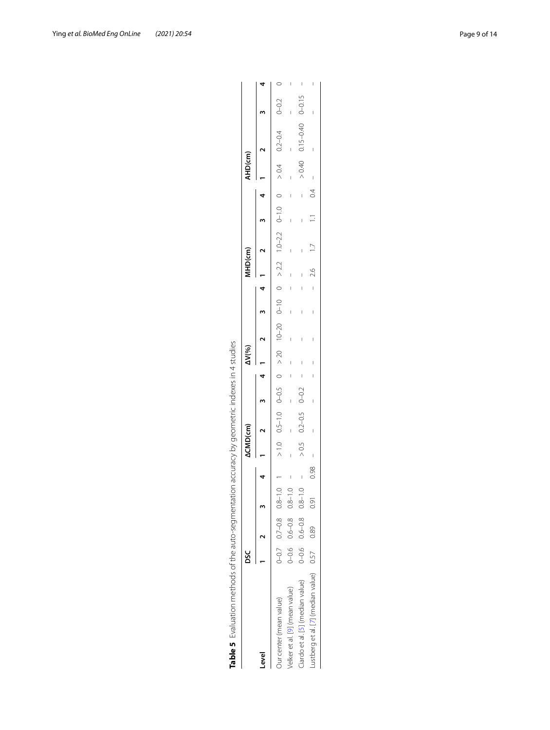| Table 5 Evaluation methods of the auto-segmentation accuracy by geometric indexes in 4 studies |           |                             |                         |      |                 |                       |  |                                       |  |                                            |        |         |                                                                                                                                                                                                                             |  |
|------------------------------------------------------------------------------------------------|-----------|-----------------------------|-------------------------|------|-----------------|-----------------------|--|---------------------------------------|--|--------------------------------------------|--------|---------|-----------------------------------------------------------------------------------------------------------------------------------------------------------------------------------------------------------------------------|--|
|                                                                                                | sc        |                             |                         |      | <b>ACMD(cm)</b> |                       |  | <b>AV(%)</b>                          |  | MHD(cm)                                    |        | AHD(cm) |                                                                                                                                                                                                                             |  |
| evel                                                                                           |           | $\frac{2}{1}$               |                         |      |                 |                       |  | $\begin{array}{cc} 3 & 1 \end{array}$ |  | $\begin{array}{ccc} 3 & 4 & 1 \end{array}$ | ว<br>3 |         |                                                                                                                                                                                                                             |  |
| Our center (mean value)                                                                        |           |                             |                         |      |                 |                       |  |                                       |  |                                            |        |         | 0 $20-0$ $70-0$ $70-0$ $91-0$ $21-01$ $21/0$ $21/0$ $01/0$ $01/0$ $01/0$ $01/0$ $01/0$ $01/0$ $01/0$ $10/0$ $01/0$ $01/0$ $01/0$ $01/0$ $01/0$ $01/0$ $01/0$ $01/0$ $01/0$ $01/0$ $01/0$ $01/0$ $01/0$ $01/0$ $01/0$ $01/0$ |  |
| velker et al. [9] (mean value)                                                                 | $0 - 0.6$ |                             | $0.6 - 0.8$ $0.8 - 1.0$ |      |                 |                       |  |                                       |  |                                            |        |         |                                                                                                                                                                                                                             |  |
| Ciardo et al. [5] (median value)                                                               |           | $0-0.6$ $0.6-0.8$ $0.8-1.0$ |                         |      |                 | $> 0.5$ 0.2-0.5 0-0.2 |  |                                       |  |                                            |        |         | $> 0.40$ 0.15-0.40 0-0.15                                                                                                                                                                                                   |  |
| Lustberg et al. [7] (median value) 0.57 0.89                                                   |           |                             | 0.91                    | 0.98 |                 |                       |  |                                       |  | $-2.6$ 1.7                                 |        |         |                                                                                                                                                                                                                             |  |

<span id="page-8-0"></span>Lustberg et al. [7] (median value) Ciardo et al. [5] (median value) Velker et al. [9] (mean value)

| j                                                                                                       |  |
|---------------------------------------------------------------------------------------------------------|--|
| ֧֖֧֧ׅ֧ׅ֦֧֧ׅ֧ׅ֧֧ׅ֧ׅ֧ׅ֧֧֧ׅ֧֧֧֚֚֚֚֚֚֚֚֚֚֚֚֚֚֚֚֚֚֚֚֚֚֝֝֓֝֓֜֓֡֝֬֝֓֝֬֜֓֜֓֝֬֜֜֜֝֬֝֬֜֝֬֜<br>)<br>}<br>ì         |  |
| フィニノ・ディクス クランス・ミング こうりょこうしゃ とうしょうせきり うえてりょう サー・ワーク クロサイクス こうしゅうこう シュー・コード<br>)<br>)<br>)<br>)<br>)<br>) |  |
| りりり                                                                                                     |  |
| ֖֖֖֖֖֖֧֖֖֧֖֧֧ׅ֧֪֧֚֚֚֚֚֚֚֚֚֚֚֚֚֚֚֚֚֚֚֚֚֚֚֚֡֬֝֝֓֞֝֓֬֓֝֬֓֬֓֞֝֬֝֬                                           |  |
| ֖֖֖֖֖֖֖֖֖֧ׅ֪ׅ֖ׅ֪֪֪ׅ֖ׅ֪֪֪ׅ֖֚֚֚֚֚֚֚֚֚֚֚֚֚֚֚֚֚֚֚֚֚֬֝<br> <br> <br> <br> <br>                               |  |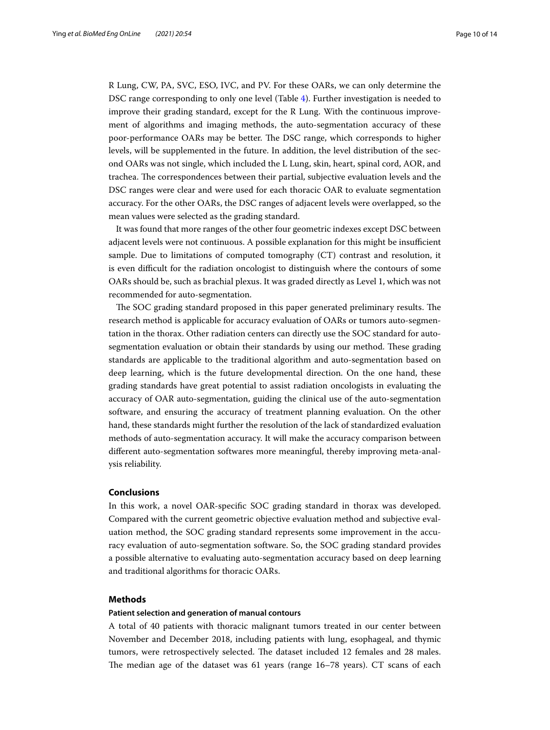R Lung, CW, PA, SVC, ESO, IVC, and PV. For these OARs, we can only determine the DSC range corresponding to only one level (Table [4\)](#page-5-0). Further investigation is needed to improve their grading standard, except for the R Lung. With the continuous improvement of algorithms and imaging methods, the auto-segmentation accuracy of these poor-performance OARs may be better. The DSC range, which corresponds to higher levels, will be supplemented in the future. In addition, the level distribution of the second OARs was not single, which included the L Lung, skin, heart, spinal cord, AOR, and trachea. The correspondences between their partial, subjective evaluation levels and the DSC ranges were clear and were used for each thoracic OAR to evaluate segmentation accuracy. For the other OARs, the DSC ranges of adjacent levels were overlapped, so the mean values were selected as the grading standard.

It was found that more ranges of the other four geometric indexes except DSC between adjacent levels were not continuous. A possible explanation for this might be insufficient sample. Due to limitations of computed tomography (CT) contrast and resolution, it is even difficult for the radiation oncologist to distinguish where the contours of some OARs should be, such as brachial plexus. It was graded directly as Level 1, which was not recommended for auto-segmentation.

The SOC grading standard proposed in this paper generated preliminary results. The research method is applicable for accuracy evaluation of OARs or tumors auto-segmentation in the thorax. Other radiation centers can directly use the SOC standard for autosegmentation evaluation or obtain their standards by using our method. These grading standards are applicable to the traditional algorithm and auto-segmentation based on deep learning, which is the future developmental direction. On the one hand, these grading standards have great potential to assist radiation oncologists in evaluating the accuracy of OAR auto-segmentation, guiding the clinical use of the auto-segmentation software, and ensuring the accuracy of treatment planning evaluation. On the other hand, these standards might further the resolution of the lack of standardized evaluation methods of auto-segmentation accuracy. It will make the accuracy comparison between diferent auto-segmentation softwares more meaningful, thereby improving meta-analysis reliability.

## **Conclusions**

In this work, a novel OAR-specifc SOC grading standard in thorax was developed. Compared with the current geometric objective evaluation method and subjective evaluation method, the SOC grading standard represents some improvement in the accuracy evaluation of auto-segmentation software. So, the SOC grading standard provides a possible alternative to evaluating auto-segmentation accuracy based on deep learning and traditional algorithms for thoracic OARs.

## **Methods**

## **Patient selection and generation of manual contours**

A total of 40 patients with thoracic malignant tumors treated in our center between November and December 2018, including patients with lung, esophageal, and thymic tumors, were retrospectively selected. The dataset included 12 females and 28 males. The median age of the dataset was  $61$  years (range  $16-78$  years). CT scans of each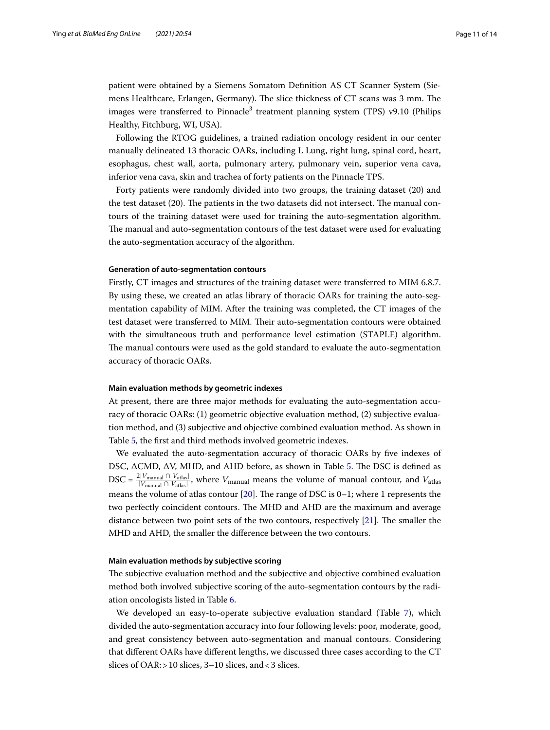patient were obtained by a Siemens Somatom Defnition AS CT Scanner System (Siemens Healthcare, Erlangen, Germany). The slice thickness of CT scans was 3 mm. The images were transferred to Pinnacle<sup>3</sup> treatment planning system (TPS) v9.10 (Philips Healthy, Fitchburg, WI, USA).

Following the RTOG guidelines, a trained radiation oncology resident in our center manually delineated 13 thoracic OARs, including L Lung, right lung, spinal cord, heart, esophagus, chest wall, aorta, pulmonary artery, pulmonary vein, superior vena cava, inferior vena cava, skin and trachea of forty patients on the Pinnacle TPS.

Forty patients were randomly divided into two groups, the training dataset (20) and the test dataset  $(20)$ . The patients in the two datasets did not intersect. The manual contours of the training dataset were used for training the auto-segmentation algorithm. The manual and auto-segmentation contours of the test dataset were used for evaluating the auto-segmentation accuracy of the algorithm.

## **Generation of auto-segmentation contours**

Firstly, CT images and structures of the training dataset were transferred to MIM 6.8.7. By using these, we created an atlas library of thoracic OARs for training the auto-segmentation capability of MIM. After the training was completed, the CT images of the test dataset were transferred to MIM. Their auto-segmentation contours were obtained with the simultaneous truth and performance level estimation (STAPLE) algorithm. The manual contours were used as the gold standard to evaluate the auto-segmentation accuracy of thoracic OARs.

#### **Main evaluation methods by geometric indexes**

At present, there are three major methods for evaluating the auto-segmentation accuracy of thoracic OARs: (1) geometric objective evaluation method, (2) subjective evaluation method, and (3) subjective and objective combined evaluation method. As shown in Table [5](#page-8-0), the frst and third methods involved geometric indexes.

We evaluated the auto-segmentation accuracy of thoracic OARs by fve indexes of DSC, ΔCMD, ΔV, MHD, and AHD before, as shown in Table [5](#page-8-0). The DSC is defined as DSC =  $\frac{2|V_{\text{manual}} \cap V_{\text{atlas}}|}{|V_{\text{manual}} \cap V_{\text{atlas}}|}$ , where  $V_{\text{manual}}$  means the volume of manual contour, and  $V_{\text{atlas}}$ means the volume of atlas contour [[20](#page-13-5)]. The range of DSC is  $0-1$ ; where 1 represents the two perfectly coincident contours. The MHD and AHD are the maximum and average distance between two point sets of the two contours, respectively  $[21]$ . The smaller the MHD and AHD, the smaller the diference between the two contours.

## **Main evaluation methods by subjective scoring**

The subjective evaluation method and the subjective and objective combined evaluation method both involved subjective scoring of the auto-segmentation contours by the radiation oncologists listed in Table [6.](#page-11-0)

We developed an easy-to-operate subjective evaluation standard (Table [7\)](#page-11-1), which divided the auto-segmentation accuracy into four following levels: poor, moderate, good, and great consistency between auto-segmentation and manual contours. Considering that diferent OARs have diferent lengths, we discussed three cases according to the CT slices of OAR: > 10 slices, 3-10 slices, and <3 slices.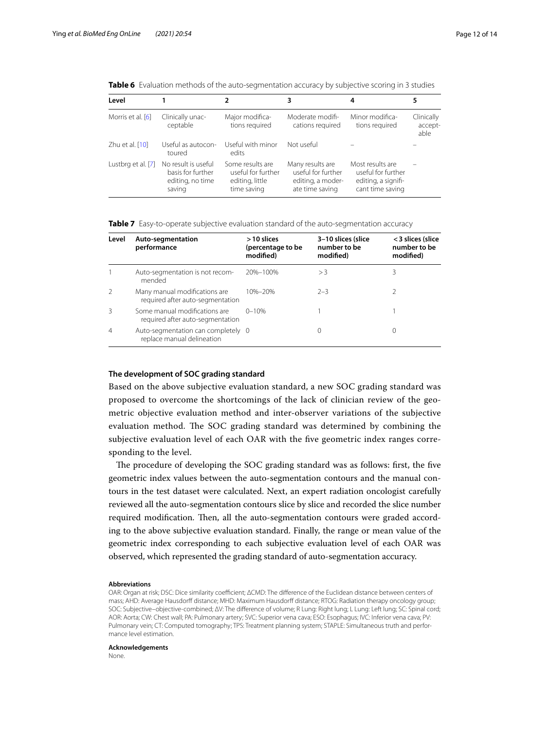| Level              |                                                                        |                                                                          | 3                                                                              | 4                                                                                 | 5                             |
|--------------------|------------------------------------------------------------------------|--------------------------------------------------------------------------|--------------------------------------------------------------------------------|-----------------------------------------------------------------------------------|-------------------------------|
| Morris et al. [6]  | Clinically unac-<br>ceptable                                           | Major modifica-<br>tions required                                        | Moderate modifi-<br>cations required                                           | Minor modifica-<br>tions required                                                 | Clinically<br>accept-<br>able |
| Zhu et al. $[10]$  | Useful as autocon-<br>toured                                           | Useful with minor<br>edits                                               | Not useful                                                                     |                                                                                   |                               |
| Lustbrg et al. [7] | No result is useful<br>basis for further<br>editing, no time<br>saving | Some results are<br>useful for further<br>editing, little<br>time saving | Many results are<br>useful for further<br>editing, a moder-<br>ate time saving | Most results are<br>useful for further<br>editing, a signifi-<br>cant time saving |                               |

<span id="page-11-0"></span>**Table 6** Evaluation methods of the auto-segmentation accuracy by subjective scoring in 3 studies

<span id="page-11-1"></span>**Table 7** Easy-to-operate subjective evaluation standard of the auto-segmentation accuracy

| Level         | Auto-segmentation<br>performance                                  | $>10$ slices<br>(percentage to be<br>modified) | 3-10 slices (slice<br>number to be<br>modified) | < 3 slices (slice<br>number to be<br>modified) |
|---------------|-------------------------------------------------------------------|------------------------------------------------|-------------------------------------------------|------------------------------------------------|
|               | Auto-segmentation is not recom-<br>mended                         | 20%-100%                                       | >3                                              | 3                                              |
| $\mathcal{P}$ | Many manual modifications are<br>required after auto-segmentation | 10%-20%                                        | $2 - 3$                                         |                                                |
| Β             | Some manual modifications are<br>required after auto-segmentation | $0 - 10%$                                      |                                                 |                                                |
| 4             | Auto-segmentation can completely 0<br>replace manual delineation  |                                                |                                                 |                                                |

## **The development of SOC grading standard**

Based on the above subjective evaluation standard, a new SOC grading standard was proposed to overcome the shortcomings of the lack of clinician review of the geometric objective evaluation method and inter-observer variations of the subjective evaluation method. The SOC grading standard was determined by combining the subjective evaluation level of each OAR with the five geometric index ranges corresponding to the level.

The procedure of developing the SOC grading standard was as follows: first, the five geometric index values between the auto-segmentation contours and the manual contours in the test dataset were calculated. Next, an expert radiation oncologist carefully reviewed all the auto-segmentation contours slice by slice and recorded the slice number required modification. Then, all the auto-segmentation contours were graded according to the above subjective evaluation standard. Finally, the range or mean value of the geometric index corresponding to each subjective evaluation level of each OAR was observed, which represented the grading standard of auto-segmentation accuracy.

#### **Abbreviations**

OAR: Organ at risk; DSC: Dice similarity coefficient; ΔCMD: The difference of the Euclidean distance between centers of mass; AHD: Average Hausdorff distance; MHD: Maximum Hausdorff distance; RTOG: Radiation therapy oncology group; SOC: Subjective–objective-combined; ΔV: The diference of volume; R Lung: Right lung; L Lung: Left lung; SC: Spinal cord; AOR: Aorta; CW: Chest wall; PA: Pulmonary artery; SVC: Superior vena cava; ESO: Esophagus; IVC: Inferior vena cava; PV: Pulmonary vein; CT: Computed tomography; TPS: Treatment planning system; STAPLE: Simultaneous truth and performance level estimation.

#### **Acknowledgements**

None.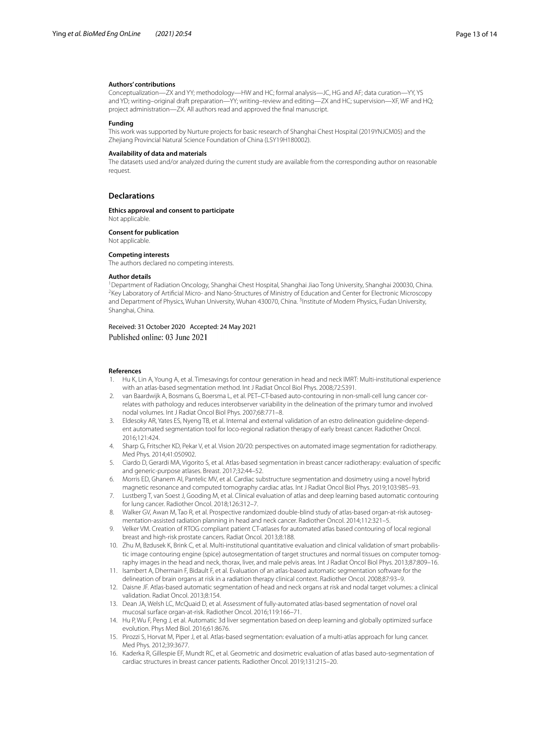#### **Authors' contributions**

Conceptualization—ZX and YY; methodology—HW and HC; formal analysis—JC, HG and AF; data curation—YY, YS and YD; writing–original draft preparation—YY; writing–review and editing—ZX and HC; supervision—XF, WF and HQ; project administration—ZX. All authors read and approved the fnal manuscript.

#### **Funding**

This work was supported by Nurture projects for basic research of Shanghai Chest Hospital (2019YNJCM05) and the Zhejiang Provincial Natural Science Foundation of China (LSY19H180002).

#### **Availability of data and materials**

The datasets used and/or analyzed during the current study are available from the corresponding author on reasonable request.

#### **Declarations**

**Ethics approval and consent to participate** Not applicable.

**Consent for publication**

Not applicable.

#### **Competing interests**

The authors declared no competing interests.

#### **Author details**

<sup>1</sup> Department of Radiation Oncology, Shanghai Chest Hospital, Shanghai Jiao Tong University, Shanghai 200030, China.<br><sup>2</sup>Kov Laboratory of Artificial Micro, and Napo Structures of Ministry of Education and Conter for Floct <sup>2</sup> Key Laboratory of Artificial Micro- and Nano-Structures of Ministry of Education and Center for Electronic Microscopy and Department of Physics, Wuhan University, Wuhan 430070, China. <sup>3</sup>Institute of Modern Physics, Fudan University, Shanghai, China.

Received: 31 October 2020 Accepted: 24 May 2021 Published online: 03 June 2021

#### **References**

- <span id="page-12-0"></span>1. Hu K, Lin A, Young A, et al. Timesavings for contour generation in head and neck IMRT: Multi-institutional experience with an atlas-based segmentation method. Int J Radiat Oncol Biol Phys. 2008;72:S391.
- <span id="page-12-1"></span>2. van Baardwijk A, Bosmans G, Boersma L, et al. PET–CT-based auto-contouring in non-small-cell lung cancer correlates with pathology and reduces interobserver variability in the delineation of the primary tumor and involved nodal volumes. Int J Radiat Oncol Biol Phys. 2007;68:771–8.
- <span id="page-12-2"></span>3. Eldesoky AR, Yates ES, Nyeng TB, et al. Internal and external validation of an estro delineation guideline-dependent automated segmentation tool for loco-regional radiation therapy of early breast cancer. Radiother Oncol. 2016;121:424.
- <span id="page-12-3"></span>4. Sharp G, Fritscher KD, Pekar V, et al. Vision 20/20: perspectives on automated image segmentation for radiotherapy. Med Phys. 2014;41:050902.
- <span id="page-12-4"></span>5. Ciardo D, Gerardi MA, Vigorito S, et al. Atlas-based segmentation in breast cancer radiotherapy: evaluation of specifc and generic-purpose atlases. Breast. 2017;32:44–52.
- <span id="page-12-7"></span>6. Morris ED, Ghanem AI, Pantelic MV, et al. Cardiac substructure segmentation and dosimetry using a novel hybrid magnetic resonance and computed tomography cardiac atlas. Int J Radiat Oncol Biol Phys. 2019;103:985–93.
- <span id="page-12-9"></span>7. Lustberg T, van Soest J, Gooding M, et al. Clinical evaluation of atlas and deep learning based automatic contouring for lung cancer. Radiother Oncol. 2018;126:312–7.
- <span id="page-12-5"></span>8. Walker GV, Awan M, Tao R, et al. Prospective randomized double-blind study of atlas-based organ-at-risk autosegmentation-assisted radiation planning in head and neck cancer. Radiother Oncol. 2014;112:321–5.
- <span id="page-12-6"></span>9. Velker VM. Creation of RTOG compliant patient CT-atlases for automated atlas based contouring of local regional breast and high-risk prostate cancers. Radiat Oncol. 2013;8:188.
- <span id="page-12-8"></span>10. Zhu M, Bzdusek K, Brink C, et al. Multi-institutional quantitative evaluation and clinical validation of smart probabilistic image contouring engine (spice) autosegmentation of target structures and normal tissues on computer tomography images in the head and neck, thorax, liver, and male pelvis areas. Int J Radiat Oncol Biol Phys. 2013;87:809–16.
- <span id="page-12-10"></span>11. Isambert A, Dhermain F, Bidault F, et al. Evaluation of an atlas-based automatic segmentation software for the delineation of brain organs at risk in a radiation therapy clinical context. Radiother Oncol. 2008;87:93–9.
- 12. Daisne JF. Atlas-based automatic segmentation of head and neck organs at risk and nodal target volumes: a clinical validation. Radiat Oncol. 2013;8:154.
- <span id="page-12-11"></span>13. Dean JA, Welsh LC, McQuaid D, et al. Assessment of fully-automated atlas-based segmentation of novel oral mucosal surface organ-at-risk. Radiother Oncol. 2016;119:166–71.
- <span id="page-12-12"></span>14. Hu P, Wu F, Peng J, et al. Automatic 3d liver segmentation based on deep learning and globally optimized surface evolution. Phys Med Biol. 2016;61:8676.
- <span id="page-12-13"></span>15. Pirozzi S, Horvat M, Piper J, et al. Atlas-based segmentation: evaluation of a multi-atlas approach for lung cancer. Med Phys. 2012;39:3677.
- 16. Kaderka R, Gillespie EF, Mundt RC, et al. Geometric and dosimetric evaluation of atlas based auto-segmentation of cardiac structures in breast cancer patients. Radiother Oncol. 2019;131:215–20.